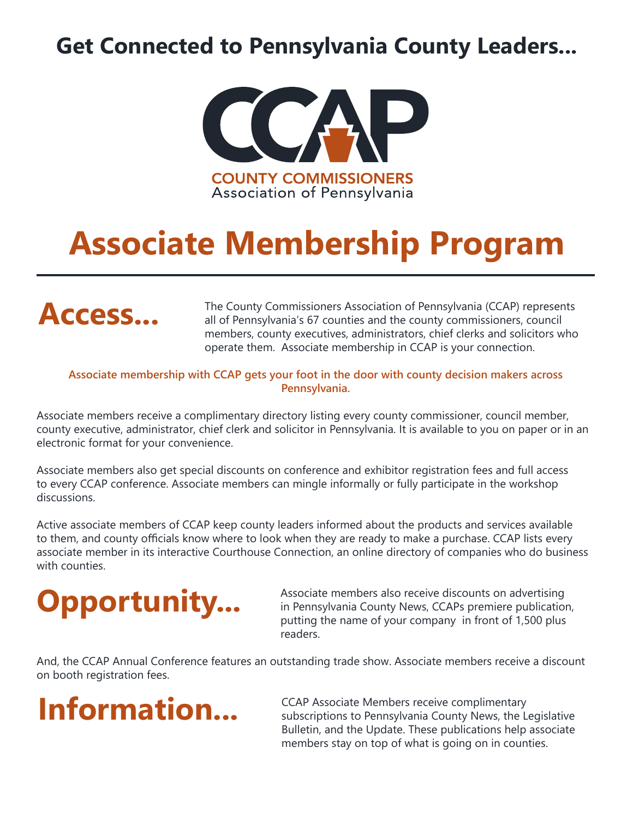### **Get Connected to Pennsylvania County Leaders...**



### **Associate Membership Program**



The County Commissioners Association of Pennsylvania (CCAP) represents all of Pennsylvania's 67 counties and the county commissioners, council members, county executives, administrators, chief clerks and solicitors who operate them. Associate membership in CCAP is your connection.

#### **Associate membership with CCAP gets your foot in the door with county decision makers across Pennsylvania.**

Associate members receive a complimentary directory listing every county commissioner, council member, county executive, administrator, chief clerk and solicitor in Pennsylvania. It is available to you on paper or in an electronic format for your convenience.

Associate members also get special discounts on conference and exhibitor registration fees and full access to every CCAP conference. Associate members can mingle informally or fully participate in the workshop discussions.

Active associate members of CCAP keep county leaders informed about the products and services available to them, and county officials know where to look when they are ready to make a purchase. CCAP lists every associate member in its interactive Courthouse Connection, an online directory of companies who do business with counties.

# **Opportunity...**

Associate members also receive discounts on advertising in Pennsylvania County News, CCAPs premiere publication, putting the name of your company in front of 1,500 plus readers.

And, the CCAP Annual Conference features an outstanding trade show. Associate members receive a discount on booth registration fees.

### **Information...**

CCAP Associate Members receive complimentary subscriptions to Pennsylvania County News, the Legislative Bulletin, and the Update. These publications help associate members stay on top of what is going on in counties.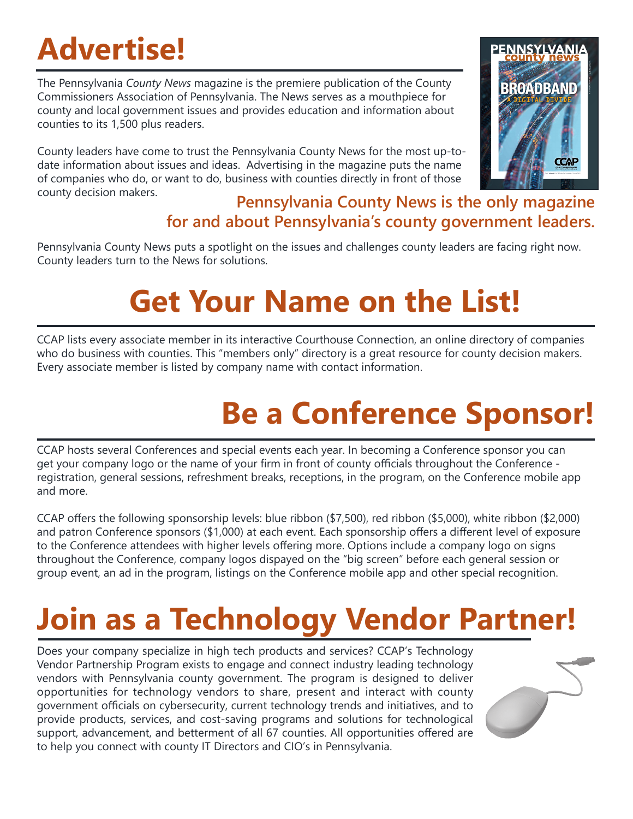## **Advertise!**

The Pennsylvania *County News* magazine is the premiere publication of the County Commissioners Association of Pennsylvania. The News serves as a mouthpiece for county and local government issues and provides education and information about counties to its 1,500 plus readers.

County leaders have come to trust the Pennsylvania County News for the most up-todate information about issues and ideas. Advertising in the magazine puts the name of companies who do, or want to do, business with counties directly in front of those county decision makers.



#### **Pennsylvania County News is the only magazine for and about Pennsylvania's county government leaders.**

Pennsylvania County News puts a spotlight on the issues and challenges county leaders are facing right now. County leaders turn to the News for solutions.

### **Get Your Name on the List!**

CCAP lists every associate member in its interactive Courthouse Connection, an online directory of companies who do business with counties. This "members only" directory is a great resource for county decision makers. Every associate member is listed by company name with contact information.

### **Be a Conference Sponsor!**

CCAP hosts several Conferences and special events each year. In becoming a Conference sponsor you can get your company logo or the name of your firm in front of county officials throughout the Conference registration, general sessions, refreshment breaks, receptions, in the program, on the Conference mobile app and more.

CCAP offers the following sponsorship levels: blue ribbon (\$7,500), red ribbon (\$5,000), white ribbon (\$2,000) and patron Conference sponsors (\$1,000) at each event. Each sponsorship offers a different level of exposure to the Conference attendees with higher levels offering more. Options include a company logo on signs throughout the Conference, company logos dispayed on the "big screen" before each general session or group event, an ad in the program, listings on the Conference mobile app and other special recognition.

## **Join as a Technology Vendor Partner!**

Does your company specialize in high tech products and services? CCAP's Technology Vendor Partnership Program exists to engage and connect industry leading technology vendors with Pennsylvania county government. The program is designed to deliver opportunities for technology vendors to share, present and interact with county government officials on cybersecurity, current technology trends and initiatives, and to provide products, services, and cost-saving programs and solutions for technological support, advancement, and betterment of all 67 counties. All opportunities offered are to help you connect with county IT Directors and CIO's in Pennsylvania.